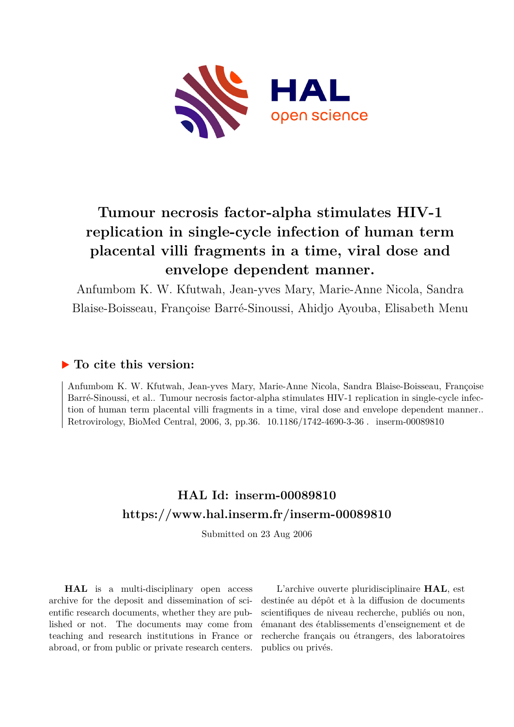

# **Tumour necrosis factor-alpha stimulates HIV-1 replication in single-cycle infection of human term placental villi fragments in a time, viral dose and envelope dependent manner.**

Anfumbom K. W. Kfutwah, Jean-yves Mary, Marie-Anne Nicola, Sandra Blaise-Boisseau, Françoise Barré-Sinoussi, Ahidjo Ayouba, Elisabeth Menu

## **To cite this version:**

Anfumbom K. W. Kfutwah, Jean-yves Mary, Marie-Anne Nicola, Sandra Blaise-Boisseau, Françoise Barré-Sinoussi, et al.. Tumour necrosis factor-alpha stimulates HIV-1 replication in single-cycle infection of human term placental villi fragments in a time, viral dose and envelope dependent manner.. Retrovirology, BioMed Central, 2006, 3, pp.36. 10.1186/1742-4690-3-36 . inserm-00089810

# **HAL Id: inserm-00089810 <https://www.hal.inserm.fr/inserm-00089810>**

Submitted on 23 Aug 2006

**HAL** is a multi-disciplinary open access archive for the deposit and dissemination of scientific research documents, whether they are published or not. The documents may come from teaching and research institutions in France or abroad, or from public or private research centers.

L'archive ouverte pluridisciplinaire **HAL**, est destinée au dépôt et à la diffusion de documents scientifiques de niveau recherche, publiés ou non, émanant des établissements d'enseignement et de recherche français ou étrangers, des laboratoires publics ou privés.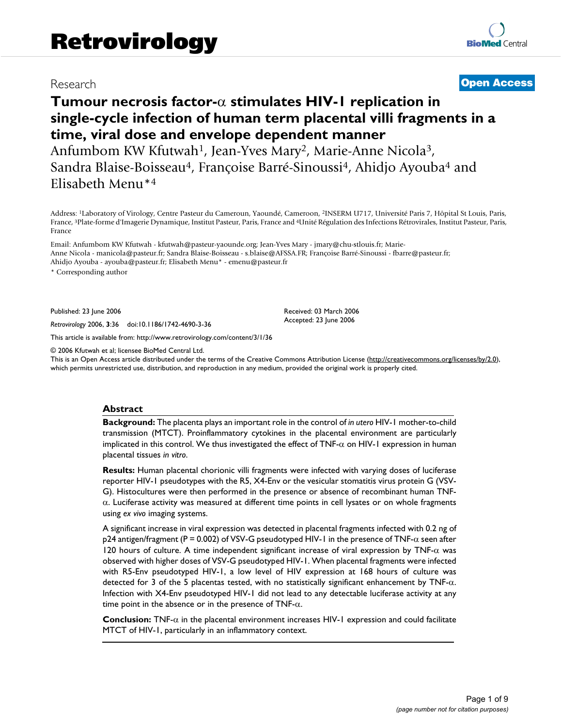## Research **[Open Access](http://www.biomedcentral.com/info/about/charter/)**

## **Tumour necrosis factor-**α **stimulates HIV-1 replication in single-cycle infection of human term placental villi fragments in a time, viral dose and envelope dependent manner**

Anfumbom KW Kfutwah<sup>1</sup>, Jean-Yves Mary<sup>2</sup>, Marie-Anne Nicola<sup>3</sup>, Sandra Blaise-Boisseau<sup>4</sup>, Françoise Barré-Sinoussi<sup>4</sup>, Ahidjo Ayouba<sup>4</sup> and Elisabeth Menu\*<sup>4</sup>

Address: <sup>1</sup>Laboratory of Virology, Centre Pasteur du Cameroun, Yaoundé, Cameroon, <sup>2</sup>INSERM U717, Université Paris 7, Hôpital St Louis, Paris, France, <sup>3</sup>Plate-forme d'Imagerie Dynamique, Institut Pasteur, Paris, France and <sup>4</sup>Unité Régulation des Infections Rétrovirales, Institut Pasteur, Paris, France

Email: Anfumbom KW Kfutwah - kfutwah@pasteur-yaounde.org; Jean-Yves Mary - jmary@chu-stlouis.fr; Marie-Anne Nicola - manicola@pasteur.fr; Sandra Blaise-Boisseau - s.blaise@AFSSA.FR; Françoise Barré-Sinoussi - fbarre@pasteur.fr; Ahidjo Ayouba - ayouba@pasteur.fr; Elisabeth Menu\* - emenu@pasteur.fr

\* Corresponding author

Published: 23 June 2006

*Retrovirology* 2006, **3**:36 doi:10.1186/1742-4690-3-36

[This article is available from: http://www.retrovirology.com/content/3/1/36](http://www.retrovirology.com/content/3/1/36)

© 2006 Kfutwah et al; licensee BioMed Central Ltd.

This is an Open Access article distributed under the terms of the Creative Commons Attribution License [\(http://creativecommons.org/licenses/by/2.0\)](http://creativecommons.org/licenses/by/2.0), which permits unrestricted use, distribution, and reproduction in any medium, provided the original work is properly cited.

Received: 03 March 2006 Accepted: 23 June 2006

#### **Abstract**

**Background:** The placenta plays an important role in the control of *in utero* HIV-1 mother-to-child transmission (MTCT). Proinflammatory cytokines in the placental environment are particularly implicated in this control. We thus investigated the effect of TNF-α on HIV-1 expression in human placental tissues *in vitro*.

**Results:** Human placental chorionic villi fragments were infected with varying doses of luciferase reporter HIV-1 pseudotypes with the R5, X4-Env or the vesicular stomatitis virus protein G (VSV-G). Histocultures were then performed in the presence or absence of recombinant human TNFα. Luciferase activity was measured at different time points in cell lysates or on whole fragments using *ex vivo* imaging systems.

A significant increase in viral expression was detected in placental fragments infected with 0.2 ng of p24 antigen/fragment (P = 0.002) of VSV-G pseudotyped HIV-1 in the presence of TNF-α seen after 120 hours of culture. A time independent significant increase of viral expression by TNF-α was observed with higher doses of VSV-G pseudotyped HIV-1. When placental fragments were infected with R5-Env pseudotyped HIV-1, a low level of HIV expression at 168 hours of culture was detected for 3 of the 5 placentas tested, with no statistically significant enhancement by TNF- $\alpha$ . Infection with X4-Env pseudotyped HIV-1 did not lead to any detectable luciferase activity at any time point in the absence or in the presence of TNF- $\alpha$ .

**Conclusion:** TNF-α in the placental environment increases HIV-1 expression and could facilitate MTCT of HIV-1, particularly in an inflammatory context.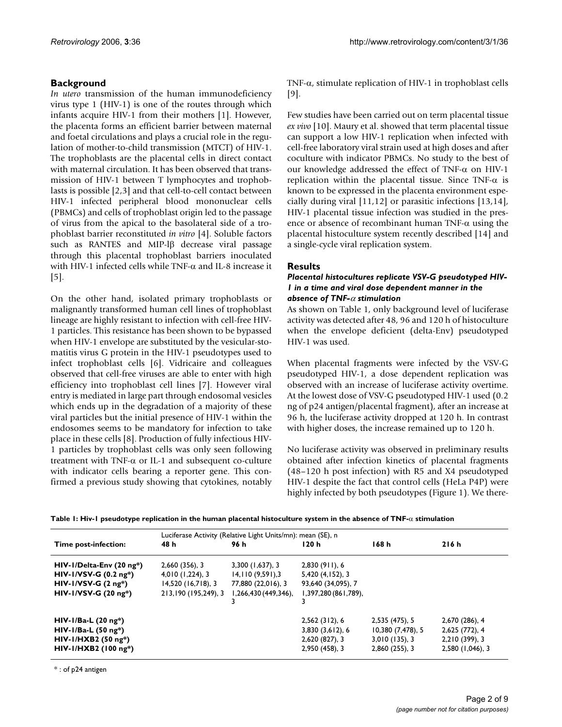### **Background**

*In utero* transmission of the human immunodeficiency virus type 1 (HIV-1) is one of the routes through which infants acquire HIV-1 from their mothers [1]. However, the placenta forms an efficient barrier between maternal and foetal circulations and plays a crucial role in the regulation of mother-to-child transmission (MTCT) of HIV-1. The trophoblasts are the placental cells in direct contact with maternal circulation. It has been observed that transmission of HIV-1 between T lymphocytes and trophoblasts is possible [2,3] and that cell-to-cell contact between HIV-1 infected peripheral blood mononuclear cells (PBMCs) and cells of trophoblast origin led to the passage of virus from the apical to the basolateral side of a trophoblast barrier reconstituted *in vitro* [4]. Soluble factors such as RANTES and MIP-lβ decrease viral passage through this placental trophoblast barriers inoculated with HIV-1 infected cells while TNF-α and IL-8 increase it [5].

On the other hand, isolated primary trophoblasts or malignantly transformed human cell lines of trophoblast lineage are highly resistant to infection with cell-free HIV-1 particles. This resistance has been shown to be bypassed when HIV-1 envelope are substituted by the vesicular-stomatitis virus G protein in the HIV-1 pseudotypes used to infect trophoblast cells [6]. Vidricaire and colleagues observed that cell-free viruses are able to enter with high efficiency into trophoblast cell lines [7]. However viral entry is mediated in large part through endosomal vesicles which ends up in the degradation of a majority of these viral particles but the initial presence of HIV-1 within the endosomes seems to be mandatory for infection to take place in these cells [8]. Production of fully infectious HIV-1 particles by trophoblast cells was only seen following treatment with TNF-α or IL-1 and subsequent co-culture with indicator cells bearing a reporter gene. This confirmed a previous study showing that cytokines, notably TNF-α, stimulate replication of HIV-1 in trophoblast cells [9].

Few studies have been carried out on term placental tissue *ex vivo* [10]. Maury et al. showed that term placental tissue can support a low HIV-1 replication when infected with cell-free laboratory viral strain used at high doses and after coculture with indicator PBMCs. No study to the best of our knowledge addressed the effect of TNF-α on HIV-1 replication within the placental tissue. Since TNF- $\alpha$  is known to be expressed in the placenta environment especially during viral [11,12] or parasitic infections [13,14], HIV-1 placental tissue infection was studied in the presence or absence of recombinant human TNF- $\alpha$  using the placental histoculture system recently described [14] and a single-cycle viral replication system.

#### **Results**

#### *Placental histocultures replicate VSV-G pseudotyped HIV-1 in a time and viral dose dependent manner in the absence of TNF-*α *stimulation*

As shown on Table 1, only background level of luciferase activity was detected after 48, 96 and 120 h of histoculture when the envelope deficient (delta-Env) pseudotyped HIV-1 was used.

When placental fragments were infected by the VSV-G pseudotyped HIV-1, a dose dependent replication was observed with an increase of luciferase activity overtime. At the lowest dose of VSV-G pseudotyped HIV-1 used (0.2 ng of p24 antigen/placental fragment), after an increase at 96 h, the luciferase activity dropped at 120 h. In contrast with higher doses, the increase remained up to 120 h.

No luciferase activity was observed in preliminary results obtained after infection kinetics of placental fragments (48–120 h post infection) with R5 and X4 pseudotyped HIV-1 despite the fact that control cells (HeLa P4P) were highly infected by both pseudotypes (Figure 1). We there-

|  |  |  | Table 1: Hiv-1 pseudotype replication in the human placental histoculture system in the absence of TNF- $\alpha$ stimulation |  |
|--|--|--|------------------------------------------------------------------------------------------------------------------------------|--|
|  |  |  |                                                                                                                              |  |

|                          | Luciferase Activity (Relative Light Units/mn): mean (SE), n |                     |                      |                   |                  |  |  |  |  |
|--------------------------|-------------------------------------------------------------|---------------------|----------------------|-------------------|------------------|--|--|--|--|
| Time post-infection:     | 48 h                                                        | 96 h                | 120 h                | 168 h             | 216h             |  |  |  |  |
| HIV-I/Delta-Env (20 ng*) | 2,660 (356), 3                                              | $3,300$ (1,637), 3  | 2,830(911), 6        |                   |                  |  |  |  |  |
| $HIV-I/YSV-G (0.2 ng*)$  | $4,010$ (1,224), 3                                          | 14,110(9,591),3     | 5,420 (4,152), 3     |                   |                  |  |  |  |  |
| $HIV-I/YSV-G (2 ng*)$    | 14,520 (16,718), 3                                          | 77,880 (22,016), 3  | 93,640 (34,095), 7   |                   |                  |  |  |  |  |
| $HIV-I/YSV-G (20 ng*)$   | 213,190 (195,249), 3                                        | 1,266,430(449,346), | 1,397,280 (861,789), |                   |                  |  |  |  |  |
|                          |                                                             |                     |                      |                   |                  |  |  |  |  |
| $HIV-I/Ba-L (20 ng*)$    |                                                             |                     | 2,562 (312), 6       | 2,535 (475), 5    | 2,670 (286), 4   |  |  |  |  |
| $HIV-I/Ba-L (50 ng*)$    |                                                             |                     | 3,830(3,612), 6      | 10,380 (7,478), 5 | 2,625 (772), 4   |  |  |  |  |
| $HIV-I/HXB2 (50 ng*)$    |                                                             |                     | 2,620 (827), 3       | 3,010(135),3      | 2,210 (399), 3   |  |  |  |  |
| $HIV-I/HXB2 (100 ng*)$   |                                                             |                     | 2,950 (458), 3       | 2,860 (255), 3    | 2,580 (1,046), 3 |  |  |  |  |

\* : of p24 antigen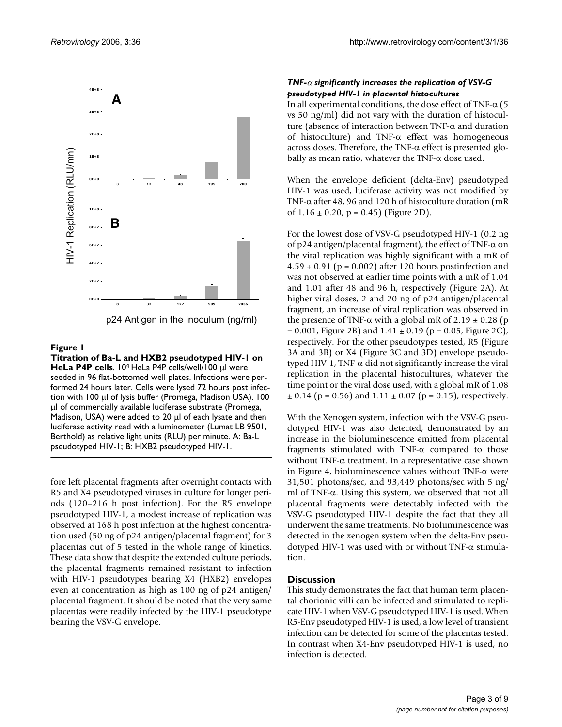

p24 Antigen in the inoculum (ng/ml)

#### Figure 1

**Titration of Ba-L and HXB2 pseudotyped HIV-1 on HeLa P4P cells**. 10<sup>4</sup> HeLa P4P cells/well/100 μl were seeded in 96 flat-bottomed well plates. Infections were performed 24 hours later. Cells were lysed 72 hours post infection with 100 µl of lysis buffer (Promega, Madison USA). 100 µl of commercially available luciferase substrate (Promega, Madison, USA) were added to 20 µl of each lysate and then luciferase activity read with a luminometer (Lumat LB 9501, Berthold) as relative light units (RLU) per minute. A: Ba-L pseudotyped HIV-1; B: HXB2 pseudotyped HIV-1.

fore left placental fragments after overnight contacts with R5 and X4 pseudotyped viruses in culture for longer periods (120–216 h post infection). For the R5 envelope pseudotyped HIV-1, a modest increase of replication was observed at 168 h post infection at the highest concentration used (50 ng of p24 antigen/placental fragment) for 3 placentas out of 5 tested in the whole range of kinetics. These data show that despite the extended culture periods, the placental fragments remained resistant to infection with HIV-1 pseudotypes bearing X4 (HXB2) envelopes even at concentration as high as 100 ng of p24 antigen/ placental fragment. It should be noted that the very same placentas were readily infected by the HIV-1 pseudotype bearing the VSV-G envelope.

#### *TNF-*α *significantly increases the replication of VSV-G pseudotyped HIV-1 in placental histocultures*

In all experimental conditions, the dose effect of TNF-α (5 vs 50 ng/ml) did not vary with the duration of histoculture (absence of interaction between TNF-α and duration of histoculture) and TNF-α effect was homogeneous across doses. Therefore, the TNF-α effect is presented globally as mean ratio, whatever the TNF- $\alpha$  dose used.

When the envelope deficient (delta-Env) pseudotyped HIV-1 was used, luciferase activity was not modified by TNF-α after 48, 96 and 120 h of histoculture duration (mR of  $1.16 \pm 0.20$ , p = 0.45) (Figure 2D).

For the lowest dose of VSV-G pseudotyped HIV-1 (0.2 ng of p24 antigen/placental fragment), the effect of TNF- $\alpha$  on the viral replication was highly significant with a mR of  $4.59 \pm 0.91$  (p = 0.002) after 120 hours postinfection and was not observed at earlier time points with a mR of 1.04 and 1.01 after 48 and 96 h, respectively (Figure 2A). At higher viral doses, 2 and 20 ng of p24 antigen/placental fragment, an increase of viral replication was observed in the presence of TNF-α with a global mR of 2.19  $\pm$  0.28 (p  $= 0.001$ , Figure 2B) and  $1.41 \pm 0.19$  (p  $= 0.05$ , Figure 2C), respectively. For the other pseudotypes tested, R5 (Figure 3A and 3B) or X4 (Figure 3C and 3D) envelope pseudotyped HIV-1, TNF-α did not significantly increase the viral replication in the placental histocultures, whatever the time point or the viral dose used, with a global mR of 1.08  $\pm$  0.14 (p = 0.56) and 1.11  $\pm$  0.07 (p = 0.15), respectively.

With the Xenogen system, infection with the VSV-G pseudotyped HIV-1 was also detected, demonstrated by an increase in the bioluminescence emitted from placental fragments stimulated with TNF-α compared to those without TNF- $\alpha$  treatment. In a representative case shown in Figure 4, bioluminescence values without TNF- $\alpha$  were 31,501 photons/sec, and 93,449 photons/sec with 5 ng/ ml of TNF-α. Using this system, we observed that not all placental fragments were detectably infected with the VSV-G pseudotyped HIV-1 despite the fact that they all underwent the same treatments. No bioluminescence was detected in the xenogen system when the delta-Env pseudotyped HIV-1 was used with or without TNF-α stimulation.

#### **Discussion**

This study demonstrates the fact that human term placental chorionic villi can be infected and stimulated to replicate HIV-1 when VSV-G pseudotyped HIV-1 is used. When R5-Env pseudotyped HIV-1 is used, a low level of transient infection can be detected for some of the placentas tested. In contrast when X4-Env pseudotyped HIV-1 is used, no infection is detected.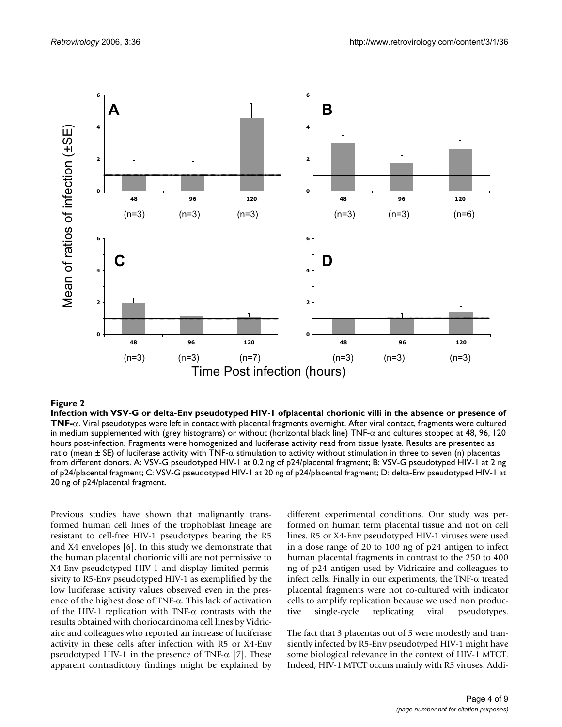

Infection with VSV-G or delta-Env pseudo **Figure 2** typed HIV-1 of placental chorionic villi in the absence or presence of TNF-α **Infection with VSV-G or delta-Env pseudotyped HIV-1 ofplacental chorionic villi in the absence or presence of TNF-**α. Viral pseudotypes were left in contact with placental fragments overnight. After viral contact, fragments were cultured in medium supplemented with (grey histograms) or without (horizontal black line) TNF- $\alpha$  and cultures stopped at 48, 96, 120 hours post-infection. Fragments were homogenized and luciferase activity read from tissue lysate. Results are presented as ratio (mean  $\pm$  SE) of luciferase activity with TNF- $\alpha$  stimulation to activity without stimulation in three to seven (n) placentas from different donors. A: VSV-G pseudotyped HIV-1 at 0.2 ng of p24/placental fragment; B: VSV-G pseudotyped HIV-1 at 2 ng of p24/placental fragment; C: VSV-G pseudotyped HIV-1 at 20 ng of p24/placental fragment; D: delta-Env pseudotyped HIV-1 at 20 ng of p24/placental fragment.

Previous studies have shown that malignantly transformed human cell lines of the trophoblast lineage are resistant to cell-free HIV-1 pseudotypes bearing the R5 and X4 envelopes [6]. In this study we demonstrate that the human placental chorionic villi are not permissive to X4-Env pseudotyped HIV-1 and display limited permissivity to R5-Env pseudotyped HIV-1 as exemplified by the low luciferase activity values observed even in the presence of the highest dose of TNF-α. This lack of activation of the HIV-1 replication with TNF- $\alpha$  contrasts with the results obtained with choriocarcinoma cell lines by Vidricaire and colleagues who reported an increase of luciferase activity in these cells after infection with R5 or X4-Env pseudotyped HIV-1 in the presence of TNF- $\alpha$  [7]. These apparent contradictory findings might be explained by different experimental conditions. Our study was performed on human term placental tissue and not on cell lines. R5 or X4-Env pseudotyped HIV-1 viruses were used in a dose range of 20 to 100 ng of p24 antigen to infect human placental fragments in contrast to the 250 to 400 ng of p24 antigen used by Vidricaire and colleagues to infect cells. Finally in our experiments, the TNF-α treated placental fragments were not co-cultured with indicator cells to amplify replication because we used non productive single-cycle replicating viral pseudotypes.

The fact that 3 placentas out of 5 were modestly and transiently infected by R5-Env pseudotyped HIV-1 might have some biological relevance in the context of HIV-1 MTCT. Indeed, HIV-1 MTCT occurs mainly with R5 viruses. Addi-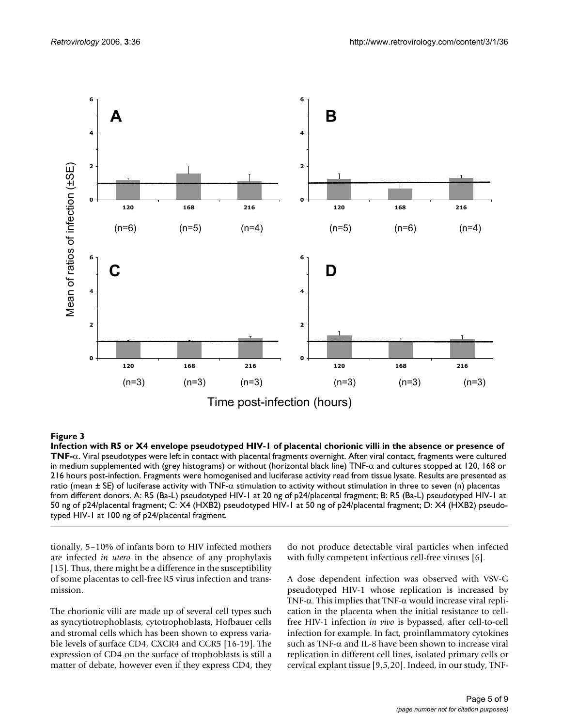

#### Infection with R5 or X4 envelope pseudotyped HIV-1 of pl **Figure 3** acental chorionic villi in the absence or presence of TNF-α

**Infection with R5 or X4 envelope pseudotyped HIV-1 of placental chorionic villi in the absence or presence of TNF-**α. Viral pseudotypes were left in contact with placental fragments overnight. After viral contact, fragments were cultured in medium supplemented with (grey histograms) or without (horizontal black line) TNF-α and cultures stopped at 120, 168 or 216 hours post-infection. Fragments were homogenised and luciferase activity read from tissue lysate. Results are presented as ratio (mean  $\pm$  SE) of luciferase activity with TNF- $\alpha$  stimulation to activity without stimulation in three to seven (n) placentas from different donors. A: R5 (Ba-L) pseudotyped HIV-1 at 20 ng of p24/placental fragment; B: R5 (Ba-L) pseudotyped HIV-1 at 50 ng of p24/placental fragment; C: X4 (HXB2) pseudotyped HIV-1 at 50 ng of p24/placental fragment; D: X4 (HXB2) pseudotyped HIV-1 at 100 ng of p24/placental fragment.

tionally, 5–10% of infants born to HIV infected mothers are infected *in utero* in the absence of any prophylaxis [15]. Thus, there might be a difference in the susceptibility of some placentas to cell-free R5 virus infection and transmission.

The chorionic villi are made up of several cell types such as syncytiotrophoblasts, cytotrophoblasts, Hofbauer cells and stromal cells which has been shown to express variable levels of surface CD4, CXCR4 and CCR5 [16-19]. The expression of CD4 on the surface of trophoblasts is still a matter of debate, however even if they express CD4, they do not produce detectable viral particles when infected with fully competent infectious cell-free viruses [6].

A dose dependent infection was observed with VSV-G pseudotyped HIV-1 whose replication is increased by TNF- $\alpha$ . This implies that TNF- $\alpha$  would increase viral replication in the placenta when the initial resistance to cellfree HIV-1 infection *in vivo* is bypassed, after cell-to-cell infection for example. In fact, proinflammatory cytokines such as TNF- $\alpha$  and IL-8 have been shown to increase viral replication in different cell lines, isolated primary cells or cervical explant tissue [9,5,20]. Indeed, in our study, TNF-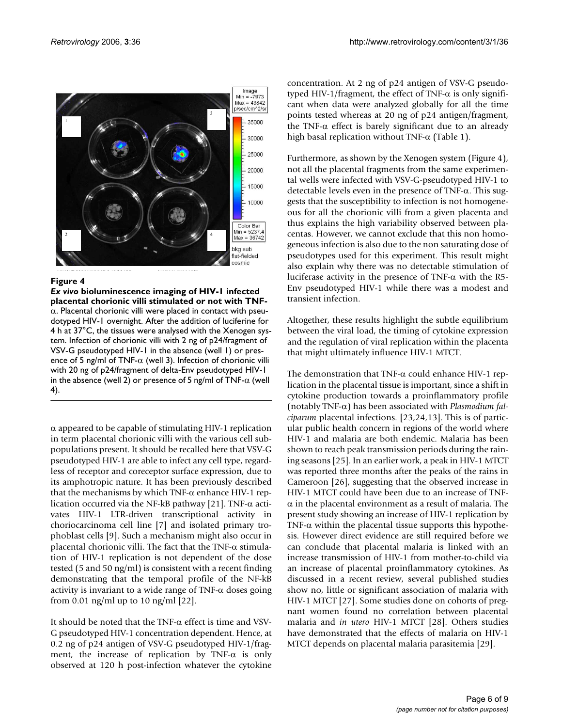

#### **Figure 4**

*Ex vivo* **bioluminescence imaging of HIV-1 infected placental chorionic villi stimulated or not with TNF-** $\alpha$ . Placental chorionic villi were placed in contact with pseudotyped HIV-1 overnight. After the addition of luciferine for 4 h at 37°C, the tissues were analysed with the Xenogen system. Infection of chorionic villi with 2 ng of p24/fragment of VSV-G pseudotyped HIV-1 in the absence (well 1) or presence of 5 ng/ml of TNF- $\alpha$  (well 3). Infection of chorionic villi with 20 ng of p24/fragment of delta-Env pseudotyped HIV-1 in the absence (well 2) or presence of 5 ng/ml of TNF- $\alpha$  (well 4).

 $\alpha$  appeared to be capable of stimulating HIV-1 replication in term placental chorionic villi with the various cell subpopulations present. It should be recalled here that VSV-G pseudotyped HIV-1 are able to infect any cell type, regardless of receptor and coreceptor surface expression, due to its amphotropic nature. It has been previously described that the mechanisms by which TNF- $α$  enhance HIV-1 replication occurred via the NF-kB pathway [21]. TNF- $\alpha$  activates HIV-1 LTR-driven transcriptional activity in choriocarcinoma cell line [7] and isolated primary trophoblast cells [9]. Such a mechanism might also occur in placental chorionic villi. The fact that the TNF- $\alpha$  stimulation of HIV-1 replication is not dependent of the dose tested (5 and 50 ng/ml) is consistent with a recent finding demonstrating that the temporal profile of the NF-kB activity is invariant to a wide range of TNF- $\alpha$  doses going from 0.01 ng/ml up to 10 ng/ml [22].

It should be noted that the TNF- $\alpha$  effect is time and VSV-G pseudotyped HIV-1 concentration dependent. Hence, at 0.2 ng of p24 antigen of VSV-G pseudotyped HIV-1/fragment, the increase of replication by TNF- $\alpha$  is only observed at 120 h post-infection whatever the cytokine concentration. At 2 ng of p24 antigen of VSV-G pseudotyped HIV-1/fragment, the effect of TNF-α is only significant when data were analyzed globally for all the time points tested whereas at 20 ng of p24 antigen/fragment, the TNF-α effect is barely significant due to an already high basal replication without TNF- $\alpha$  (Table 1).

Furthermore, as shown by the Xenogen system (Figure 4), not all the placental fragments from the same experimental wells were infected with VSV-G-pseudotyped HIV-1 to detectable levels even in the presence of TNF-α. This suggests that the susceptibility to infection is not homogeneous for all the chorionic villi from a given placenta and thus explains the high variability observed between placentas. However, we cannot exclude that this non homogeneous infection is also due to the non saturating dose of pseudotypes used for this experiment. This result might also explain why there was no detectable stimulation of luciferase activity in the presence of TNF-α with the R5- Env pseudotyped HIV-1 while there was a modest and transient infection.

Altogether, these results highlight the subtle equilibrium between the viral load, the timing of cytokine expression and the regulation of viral replication within the placenta that might ultimately influence HIV-1 MTCT.

The demonstration that TNF-α could enhance HIV-1 replication in the placental tissue is important, since a shift in cytokine production towards a proinflammatory profile (notably TNF-α) has been associated with *Plasmodium falciparum* placental infections. [23,24,13]. This is of particular public health concern in regions of the world where HIV-1 and malaria are both endemic. Malaria has been shown to reach peak transmission periods during the raining seasons [25]. In an earlier work, a peak in HIV-1 MTCT was reported three months after the peaks of the rains in Cameroon [26], suggesting that the observed increase in HIV-1 MTCT could have been due to an increase of TNF- $\alpha$  in the placental environment as a result of malaria. The present study showing an increase of HIV-1 replication by TNF- $\alpha$  within the placental tissue supports this hypothesis. However direct evidence are still required before we can conclude that placental malaria is linked with an increase transmission of HIV-1 from mother-to-child via an increase of placental proinflammatory cytokines. As discussed in a recent review, several published studies show no, little or significant association of malaria with HIV-1 MTCT [27]. Some studies done on cohorts of pregnant women found no correlation between placental malaria and *in utero* HIV-1 MTCT [28]. Others studies have demonstrated that the effects of malaria on HIV-1 MTCT depends on placental malaria parasitemia [29].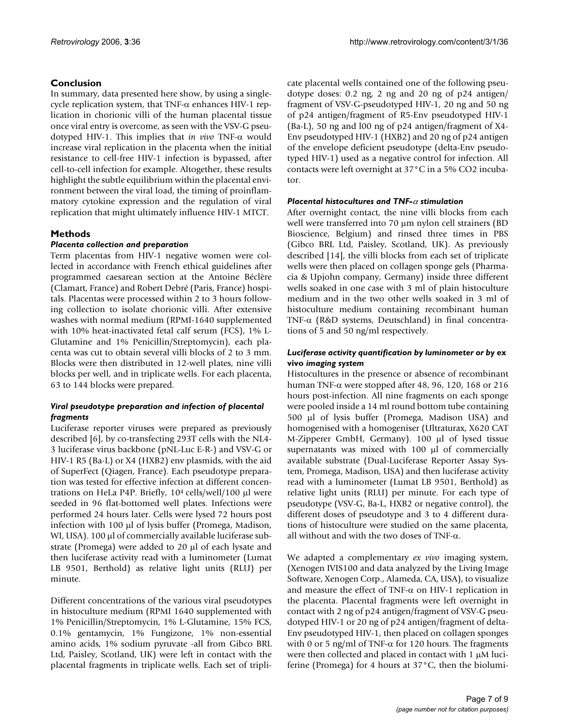### **Conclusion**

In summary, data presented here show, by using a singlecycle replication system, that TNF-α enhances HIV-1 replication in chorionic villi of the human placental tissue once viral entry is overcome, as seen with the VSV-G pseudotyped HIV-1. This implies that *in vivo* TNF-α would increase viral replication in the placenta when the initial resistance to cell-free HIV-1 infection is bypassed, after cell-to-cell infection for example. Altogether, these results highlight the subtle equilibrium within the placental environment between the viral load, the timing of proinflammatory cytokine expression and the regulation of viral replication that might ultimately influence HIV-1 MTCT.

### **Methods**

#### *Placenta collection and preparation*

Term placentas from HIV-1 negative women were collected in accordance with French ethical guidelines after programmed caesarean section at the Antoine Béclère (Clamart, France) and Robert Debré (Paris, France) hospitals. Placentas were processed within 2 to 3 hours following collection to isolate chorionic villi. After extensive washes with normal medium (RPMI-1640 supplemented with 10% heat-inactivated fetal calf serum (FCS), 1% L-Glutamine and 1% Penicillin/Streptomycin), each placenta was cut to obtain several villi blocks of 2 to 3 mm. Blocks were then distributed in 12-well plates, nine villi blocks per well, and in triplicate wells. For each placenta, 63 to 144 blocks were prepared.

#### *Viral pseudotype preparation and infection of placental fragments*

Luciferase reporter viruses were prepared as previously described [6], by co-transfecting 293T cells with the NL4- 3 luciferase virus backbone (pNL-Luc E-R-) and VSV-G or HIV-1 R5 (Ba-L) or X4 (HXB2) env plasmids, with the aid of SuperFect (Qiagen, France). Each pseudotype preparation was tested for effective infection at different concentrations on HeLa P4P. Briefly,  $10<sup>4</sup>$  cells/well/100 µl were seeded in 96 flat-bottomed well plates. Infections were performed 24 hours later. Cells were lysed 72 hours post infection with 100 µl of lysis buffer (Promega, Madison, WI, USA). 100 µl of commercially available luciferase substrate (Promega) were added to 20 µl of each lysate and then luciferase activity read with a luminometer (Lumat LB 9501, Berthold) as relative light units (RLU) per minute.

Different concentrations of the various viral pseudotypes in histoculture medium (RPMI 1640 supplemented with 1% Penicillin/Streptomycin, 1% L-Glutamine, 15% FCS, 0.1% gentamycin, 1% Fungizone, 1% non-essential amino acids, 1% sodium pyruvate -all from Gibco BRL Ltd, Paisley, Scotland, UK) were left in contact with the placental fragments in triplicate wells. Each set of triplicate placental wells contained one of the following pseudotype doses: 0.2 ng, 2 ng and 20 ng of p24 antigen/ fragment of VSV-G-pseudotyped HIV-1, 20 ng and 50 ng of p24 antigen/fragment of R5-Env pseudotyped HIV-1 (Ba-L), 50 ng and l00 ng of p24 antigen/fragment of X4- Env pseudotyped HIV-1 (HXB2) and 20 ng of p24 antigen of the envelope deficient pseudotype (delta-Env pseudotyped HIV-1) used as a negative control for infection. All contacts were left overnight at 37°C in a 5% CO2 incubator.

#### *Placental histocultures and TNF-*α *stimulation*

After overnight contact, the nine villi blocks from each well were transferred into 70 µm nylon cell strainers (BD Bioscience, Belgium) and rinsed three times in PBS (Gibco BRL Ltd, Paisley, Scotland, UK). As previously described [14], the villi blocks from each set of triplicate wells were then placed on collagen sponge gels (Pharmacia & Upjohn company, Germany) inside three different wells soaked in one case with 3 ml of plain histoculture medium and in the two other wells soaked in 3 ml of histoculture medium containing recombinant human TNF-α (R&D systems, Deutschland) in final concentrations of 5 and 50 ng/ml respectively.

#### *Luciferase activity quantification by luminometer or by* **ex vivo** *imaging system*

Histocultures in the presence or absence of recombinant human TNF-α were stopped after 48, 96, 120, 168 or 216 hours post-infection. All nine fragments on each sponge were pooled inside a 14 ml round bottom tube containing 500 µl of lysis buffer (Promega, Madison USA) and homogenised with a homogeniser (Ultraturax, X620 CAT M-Zipperer GmbH, Germany). 100 µl of lysed tissue supernatants was mixed with 100 µl of commercially available substrate (Dual-Luciferase Reporter Assay System, Promega, Madison, USA) and then luciferase activity read with a luminometer (Lumat LB 9501, Berthold) as relative light units (RLU) per minute. For each type of pseudotype (VSV-G, Ba-L, HXB2 or negative control), the different doses of pseudotype and 3 to 4 different durations of histoculture were studied on the same placenta, all without and with the two doses of TNF- $\alpha$ .

We adapted a complementary *ex vivo* imaging system, (Xenogen IVIS100 and data analyzed by the Living Image Software, Xenogen Corp., Alameda, CA, USA), to visualize and measure the effect of TNF-α on HIV-1 replication in the placenta. Placental fragments were left overnight in contact with 2 ng of p24 antigen/fragment of VSV-G pseudotyped HIV-1 or 20 ng of p24 antigen/fragment of delta-Env pseudotyped HIV-1, then placed on collagen sponges with 0 or 5 ng/ml of TNF- $\alpha$  for 120 hours. The fragments were then collected and placed in contact with  $1 \mu M$  luciferine (Promega) for 4 hours at 37°C, then the biolumi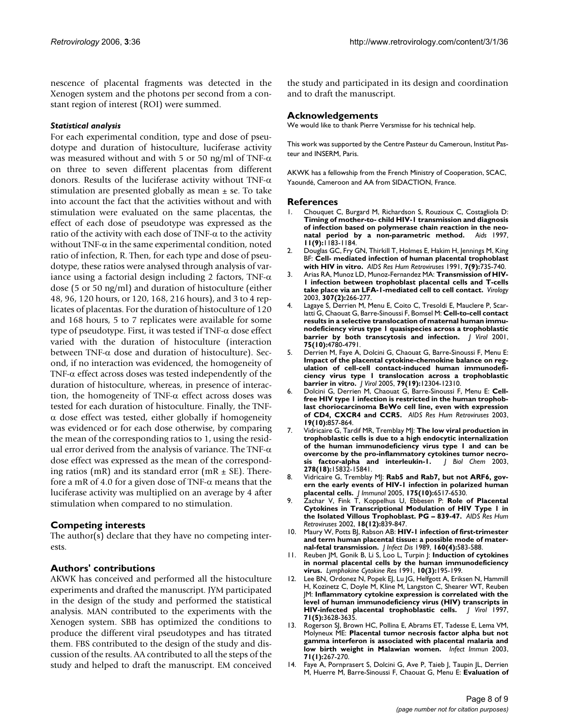nescence of placental fragments was detected in the Xenogen system and the photons per second from a constant region of interest (ROI) were summed.

#### *Statistical analysis*

For each experimental condition, type and dose of pseudotype and duration of histoculture, luciferase activity was measured without and with 5 or 50 ng/ml of TNF- $\alpha$ on three to seven different placentas from different donors. Results of the luciferase activity without TNF- $\alpha$ stimulation are presented globally as mean  $\pm$  se. To take into account the fact that the activities without and with stimulation were evaluated on the same placentas, the effect of each dose of pseudotype was expressed as the ratio of the activity with each dose of  $TNF-\alpha$  to the activity without TNF- $\alpha$  in the same experimental condition, noted ratio of infection, R. Then, for each type and dose of pseudotype, these ratios were analysed through analysis of variance using a factorial design including 2 factors, TNF- $\alpha$ dose (5 or 50 ng/ml) and duration of histoculture (either 48, 96, 120 hours, or 120, 168, 216 hours), and 3 to 4 replicates of placentas. For the duration of histoculture of 120 and 168 hours, 5 to 7 replicates were available for some type of pseudotype. First, it was tested if TNF-α dose effect varied with the duration of histoculture (interaction between TNF- $\alpha$  dose and duration of histoculture). Second, if no interaction was evidenced, the homogeneity of TNF-α effect across doses was tested independently of the duration of histoculture, whereas, in presence of interaction, the homogeneity of TNF-α effect across doses was tested for each duration of histoculture. Finally, the TNF- $\alpha$  dose effect was tested, either globally if homogeneity was evidenced or for each dose otherwise, by comparing the mean of the corresponding ratios to 1, using the residual error derived from the analysis of variance. The TNF-α dose effect was expressed as the mean of the corresponding ratios (mR) and its standard error (mR  $\pm$  SE). Therefore a mR of 4.0 for a given dose of TNF- $\alpha$  means that the luciferase activity was multiplied on an average by 4 after stimulation when compared to no stimulation.

#### **Competing interests**

The author(s) declare that they have no competing interests.

#### **Authors' contributions**

AKWK has conceived and performed all the histoculture experiments and drafted the manuscript. JYM participated in the design of the study and performed the statistical analysis. MAN contributed to the experiments with the Xenogen system. SBB has optimized the conditions to produce the different viral pseudotypes and has titrated them. FBS contributed to the design of the study and discussion of the results. AA contributed to all the steps of the study and helped to draft the manuscript. EM conceived the study and participated in its design and coordination and to draft the manuscript.

#### **Acknowledgements**

We would like to thank Pierre Versmisse for his technical help.

This work was supported by the Centre Pasteur du Cameroun, Institut Pasteur and INSERM, Paris.

AKWK has a fellowship from the French Ministry of Cooperation, SCAC, Yaoundé, Cameroon and AA from SIDACTION, France.

#### **References**

- 1. Chouquet C, Burgard M, Richardson S, Rouzioux C, Costagliola D: **[Timing of mother-to- child HIV-1 transmission and diagnosis](http://www.ncbi.nlm.nih.gov/entrez/query.fcgi?cmd=Retrieve&db=PubMed&dopt=Abstract&list_uids=9233467) of infection based on polymerase chain reaction in the neo[natal period by a non-parametric method.](http://www.ncbi.nlm.nih.gov/entrez/query.fcgi?cmd=Retrieve&db=PubMed&dopt=Abstract&list_uids=9233467)** *Aids* 1997, **11(9):**1183-1184.
- 2. Douglas GC, Fry GN, Thirkill T, Holmes E, Hakim H, Jennings M, King BF: **[Cell- mediated infection of human placental trophoblast](http://www.ncbi.nlm.nih.gov/entrez/query.fcgi?cmd=Retrieve&db=PubMed&dopt=Abstract&list_uids=1742080) [with HIV in vitro.](http://www.ncbi.nlm.nih.gov/entrez/query.fcgi?cmd=Retrieve&db=PubMed&dopt=Abstract&list_uids=1742080)** *AIDS Res Hum Retroviruses* 1991, **7(9):**735-740.
- 3. Arias RA, Munoz LD, Munoz-Fernandez MA: **[Transmission of HIV-](http://www.ncbi.nlm.nih.gov/entrez/query.fcgi?cmd=Retrieve&db=PubMed&dopt=Abstract&list_uids=12667796)[1 infection between trophoblast placental cells and T-cells](http://www.ncbi.nlm.nih.gov/entrez/query.fcgi?cmd=Retrieve&db=PubMed&dopt=Abstract&list_uids=12667796) [take place via an LFA-1-mediated cell to cell contact.](http://www.ncbi.nlm.nih.gov/entrez/query.fcgi?cmd=Retrieve&db=PubMed&dopt=Abstract&list_uids=12667796)** *Virology* 2003, **307(2):**266-277.
- 4. Lagaye S, Derrien M, Menu E, Coito C, Tresoldi E, Mauclere P, Scarlatti G, Chaouat G, Barre-Sinoussi F, Bomsel M: **[Cell-to-cell contact](http://www.ncbi.nlm.nih.gov/entrez/query.fcgi?cmd=Retrieve&db=PubMed&dopt=Abstract&list_uids=11312350) results in a selective translocation of maternal human immu[nodeficiency virus type 1 quasispecies across a trophoblastic](http://www.ncbi.nlm.nih.gov/entrez/query.fcgi?cmd=Retrieve&db=PubMed&dopt=Abstract&list_uids=11312350) [barrier by both transcytosis and infection.](http://www.ncbi.nlm.nih.gov/entrez/query.fcgi?cmd=Retrieve&db=PubMed&dopt=Abstract&list_uids=11312350)** *J Virol* 2001, **75(10):**4780-4791.
- 5. Derrien M, Faye A, Dolcini G, Chaouat G, Barre-Sinoussi F, Menu E: **[Impact of the placental cytokine-chemokine balance on reg](http://www.ncbi.nlm.nih.gov/entrez/query.fcgi?cmd=Retrieve&db=PubMed&dopt=Abstract&list_uids=16160157)ulation of cell-cell contact-induced human immunodeficiency virus type 1 translocation across a trophoblastic [barrier in vitro.](http://www.ncbi.nlm.nih.gov/entrez/query.fcgi?cmd=Retrieve&db=PubMed&dopt=Abstract&list_uids=16160157)** *J Virol* 2005, **79(19):**12304-12310.
- 6. Dolcini G, Derrien M, Chaouat G, Barre-Sinoussi F, Menu E: **[Cell](http://www.ncbi.nlm.nih.gov/entrez/query.fcgi?cmd=Retrieve&db=PubMed&dopt=Abstract&list_uids=14585217)free HIV type 1 infection is restricted in the human trophob[last choriocarcinoma BeWo cell line, even with expression](http://www.ncbi.nlm.nih.gov/entrez/query.fcgi?cmd=Retrieve&db=PubMed&dopt=Abstract&list_uids=14585217) [of CD4, CXCR4 and CCR5.](http://www.ncbi.nlm.nih.gov/entrez/query.fcgi?cmd=Retrieve&db=PubMed&dopt=Abstract&list_uids=14585217)** *AIDS Res Hum Retroviruses* 2003, **19(10):**857-864.
- 7. Vidricaire G, Tardif MR, Tremblay MJ: **[The low viral production in](http://www.ncbi.nlm.nih.gov/entrez/query.fcgi?cmd=Retrieve&db=PubMed&dopt=Abstract&list_uids=12604606) trophoblastic cells is due to a high endocytic internalization [of the human immunodeficiency virus type 1 and can be](http://www.ncbi.nlm.nih.gov/entrez/query.fcgi?cmd=Retrieve&db=PubMed&dopt=Abstract&list_uids=12604606) overcome by the pro-inflammatory cytokines tumor necro[sis factor-alpha and interleukin-1.](http://www.ncbi.nlm.nih.gov/entrez/query.fcgi?cmd=Retrieve&db=PubMed&dopt=Abstract&list_uids=12604606)** *J Biol Chem* 2003, **278(18):**15832-15841.
- 8. Vidricaire G, Tremblay MJ: **[Rab5 and Rab7, but not ARF6, gov](http://www.ncbi.nlm.nih.gov/entrez/query.fcgi?cmd=Retrieve&db=PubMed&dopt=Abstract&list_uids=16272306)[ern the early events of HIV-1 infection in polarized human](http://www.ncbi.nlm.nih.gov/entrez/query.fcgi?cmd=Retrieve&db=PubMed&dopt=Abstract&list_uids=16272306) [placental cells.](http://www.ncbi.nlm.nih.gov/entrez/query.fcgi?cmd=Retrieve&db=PubMed&dopt=Abstract&list_uids=16272306)** *J Immunol* 2005, **175(10):**6517-6530.
- 9. Zachar V, Fink T, Koppelhus U, Ebbesen P: **[Role of Placental](http://www.ncbi.nlm.nih.gov/entrez/query.fcgi?cmd=Retrieve&db=PubMed&dopt=Abstract&list_uids=12201906) [Cytokines in Transcriptional Modulation of HIV Type 1 in](http://www.ncbi.nlm.nih.gov/entrez/query.fcgi?cmd=Retrieve&db=PubMed&dopt=Abstract&list_uids=12201906) [the Isolated Villous Trophoblast. PG – 839-47.](http://www.ncbi.nlm.nih.gov/entrez/query.fcgi?cmd=Retrieve&db=PubMed&dopt=Abstract&list_uids=12201906)** *AIDS Res Hum Retroviruses* 2002, **18(12):**839-847.
- 10. Maury W, Potts BJ, Rabson AB: **[HIV-1 infection of first-trimester](http://www.ncbi.nlm.nih.gov/entrez/query.fcgi?cmd=Retrieve&db=PubMed&dopt=Abstract&list_uids=2477467) [and term human placental tissue: a possible mode of mater](http://www.ncbi.nlm.nih.gov/entrez/query.fcgi?cmd=Retrieve&db=PubMed&dopt=Abstract&list_uids=2477467)[nal-fetal transmission.](http://www.ncbi.nlm.nih.gov/entrez/query.fcgi?cmd=Retrieve&db=PubMed&dopt=Abstract&list_uids=2477467)** *J Infect Dis* 1989, **160(4):**583-588.
- 11. Reuben JM, Gonik B, Li S, Loo L, Turpin J: **[Induction of cytokines](http://www.ncbi.nlm.nih.gov/entrez/query.fcgi?cmd=Retrieve&db=PubMed&dopt=Abstract&list_uids=1883914) [in normal placental cells by the human immunodeficiency](http://www.ncbi.nlm.nih.gov/entrez/query.fcgi?cmd=Retrieve&db=PubMed&dopt=Abstract&list_uids=1883914) [virus.](http://www.ncbi.nlm.nih.gov/entrez/query.fcgi?cmd=Retrieve&db=PubMed&dopt=Abstract&list_uids=1883914)** *Lymphokine Cytokine Res* 1991, **10(3):**195-199.
- 12. Lee BN, Ordonez N, Popek EJ, Lu JG, Helfgott A, Eriksen N, Hammill H, Kozinetz C, Doyle M, Kline M, Langston C, Shearer WT, Reuben JM: **[Inflammatory cytokine expression is correlated with the](http://www.ncbi.nlm.nih.gov/entrez/query.fcgi?cmd=Retrieve&db=PubMed&dopt=Abstract&list_uids=9094636) [level of human immunodeficiency virus \(HIV\) transcripts in](http://www.ncbi.nlm.nih.gov/entrez/query.fcgi?cmd=Retrieve&db=PubMed&dopt=Abstract&list_uids=9094636) HIV-infected placental trophoblastic cells.** J Virol 1997, **[HIV-infected placental trophoblastic cells.](http://www.ncbi.nlm.nih.gov/entrez/query.fcgi?cmd=Retrieve&db=PubMed&dopt=Abstract&list_uids=9094636) 71(5):**3628-3635.
- 13. Rogerson SJ, Brown HC, Pollina E, Abrams ET, Tadesse E, Lema VM, Molyneux ME: **[Placental tumor necrosis factor alpha but not](http://www.ncbi.nlm.nih.gov/entrez/query.fcgi?cmd=Retrieve&db=PubMed&dopt=Abstract&list_uids=12496175) [gamma interferon is associated with placental malaria and](http://www.ncbi.nlm.nih.gov/entrez/query.fcgi?cmd=Retrieve&db=PubMed&dopt=Abstract&list_uids=12496175) [low birth weight in Malawian women.](http://www.ncbi.nlm.nih.gov/entrez/query.fcgi?cmd=Retrieve&db=PubMed&dopt=Abstract&list_uids=12496175)** *Infect Immun* 2003, **71(1):**267-270.
- 14. Faye A, Pornprasert S, Dolcini G, Ave P, Taieb J, Taupin JL, Derrien M, Huerre M, Barre-Sinoussi F, Chaouat G, Menu E: **[Evaluation of](http://www.ncbi.nlm.nih.gov/entrez/query.fcgi?cmd=Retrieve&db=PubMed&dopt=Abstract&list_uids=15708128)**